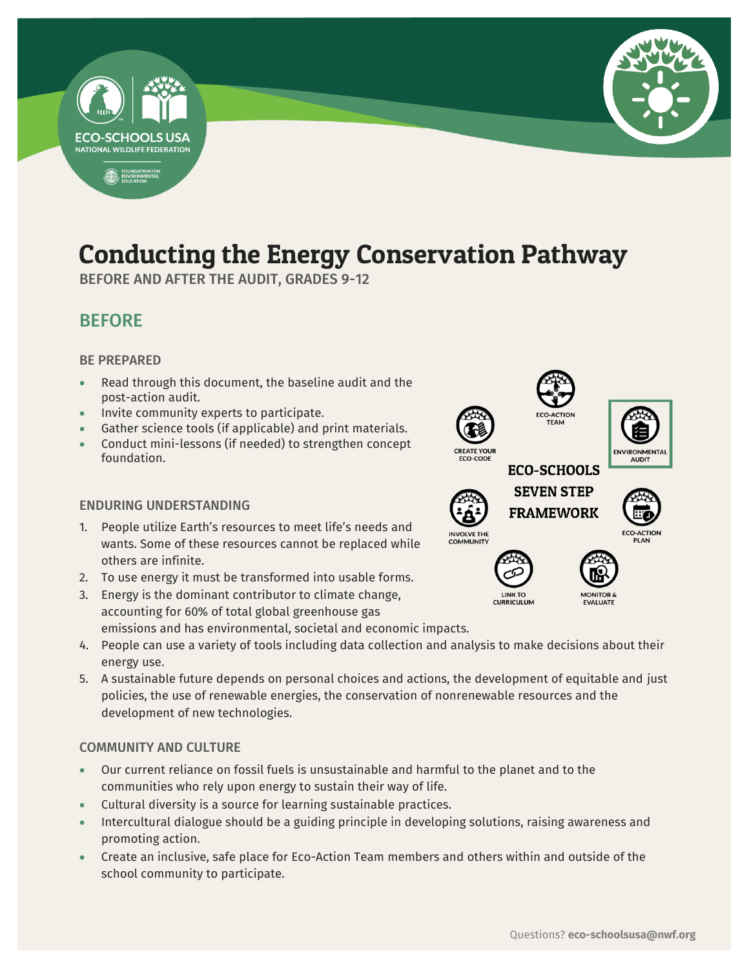

## Conducting the Energy Conservation Pathway

-

BEFORE AND AFTER THE AUDIT, GRADES 9-12

## BEFORE

#### BE PREPARED

- Read through this document, the baseline audit and the post-action audit.
- Invite community experts to participate.
- Gather science tools (if applicable) and print materials.
- Conduct mini-lessons (if needed) to strengthen concept foundation.

#### ENDURING UNDERSTANDING

- 1. People utilize Earth's resources to meet life's needs and wants. Some of these resources cannot be replaced while others are infinite.
- 2. To use energy it must be transformed into usable forms.
- 3. Energy is the dominant contributor to climate change, accounting for 60% of total global greenhouse gas emissions and has environmental, societal and economic impacts.
- 4. People can use a variety of tools including data collection and analysis to make decisions about their energy use.
- 5. A sustainable future depends on personal choices and actions, the development of equitable and just policies, the use of renewable energies, the conservation of nonrenewable resources and the development of new technologies.

#### COMMUNITY AND CULTURE

- Our current reliance on fossil fuels is unsustainable and harmful to the planet and to the communities who rely upon energy to sustain their way of life.
- Cultural diversity is a source for learning sustainable practices.
- Intercultural dialogue should be a guiding principle in developing solutions, raising awareness and promoting action.
- Create an inclusive, safe place for Eco-Action Team members and others within and outside of the school community to participate.







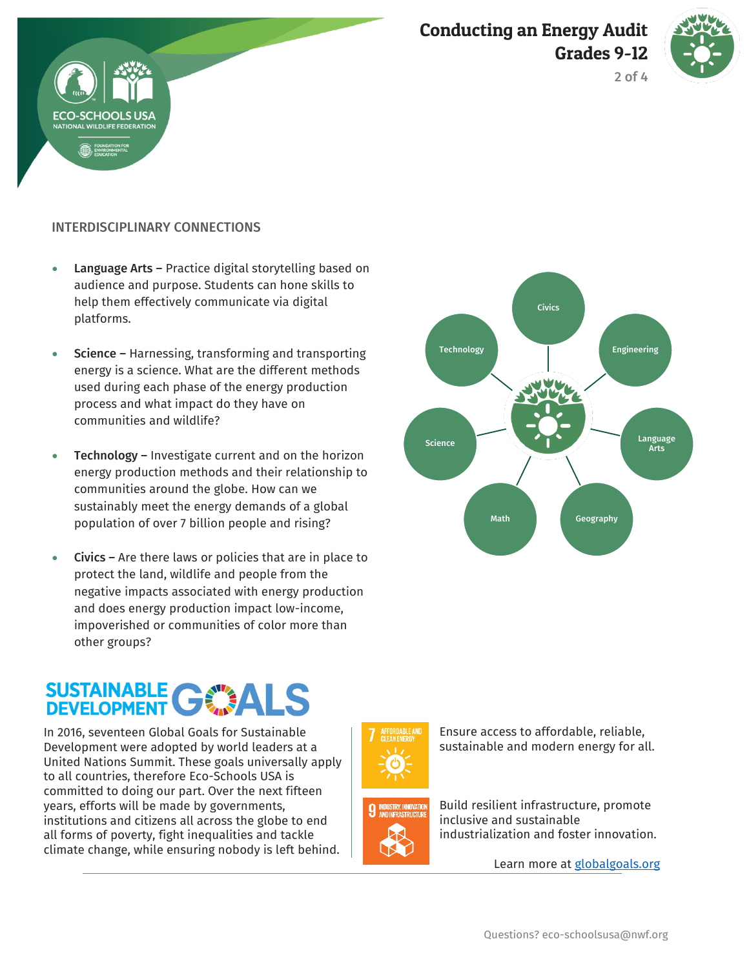





#### INTERDISCIPLINARY CONNECTIONS

- Language Arts Practice digital storytelling based on audience and purpose. Students can hone skills to help them effectively communicate via digital platforms.
- Science Harnessing, transforming and transporting energy is a science. What are the different methods used during each phase of the energy production process and what impact do they have on communities and wildlife?
- Technology Investigate current and on the horizon energy production methods and their relationship to communities around the globe. How can we sustainably meet the energy demands of a global population of over 7 billion people and rising?
- Civics Are there laws or policies that are in place to protect the land, wildlife and people from the negative impacts associated with energy production and does energy production impact low-income, impoverished or communities of color more than other groups?

# **SUSTAINABLE GWALS**

In 2016, seventeen Global Goals for Sustainable Development were adopted by world leaders at a United Nations Summit. These goals universally apply to all countries, therefore Eco-Schools USA is committed to doing our part. Over the next fifteen years, efforts will be made by governments, institutions and citizens all across the globe to end all forms of poverty, fight inequalities and tackle climate change, while ensuring nobody is left behind.





Build resilient infrastructure, promote

Ensure access to affordable, reliable, sustainable and modern energy for all.

inclusive and sustainable industrialization and foster innovation.

Learn more at [globalgoals.org](https://www.globalgoals.org/)

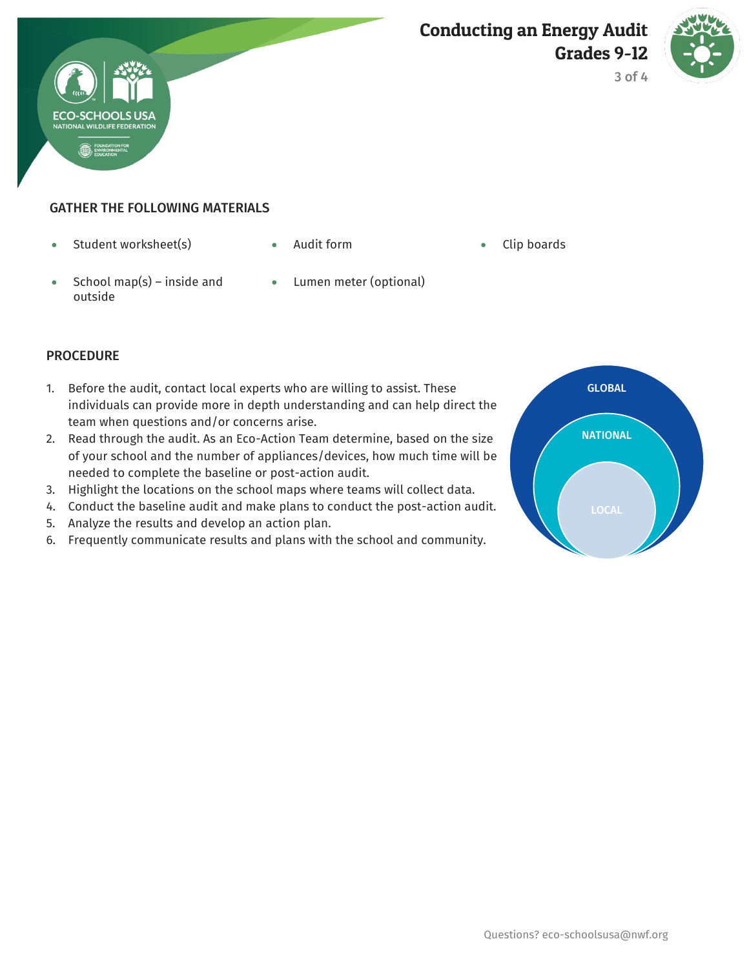



3 of 4

#### GATHER THE FOLLOWING MATERIALS

- Student worksheet(s) Audit form Clip boards
	- -

- School map(s) inside and outside
- Lumen meter (optional)

#### **PROCEDURE**

- 1. Before the audit, contact local experts who are willing to assist. These individuals can provide more in depth understanding and can help direct the team when questions and/or concerns arise.
- 2. Read through the audit. As an Eco-Action Team determine, based on the size of your school and the number of appliances/devices, how much time will be needed to complete the baseline or post-action audit.
- 3. Highlight the locations on the school maps where teams will collect data.
- 4. Conduct the baseline audit and make plans to conduct the post-action audit.
- 5. Analyze the results and develop an action plan.
- 6. Frequently communicate results and plans with the school and community.